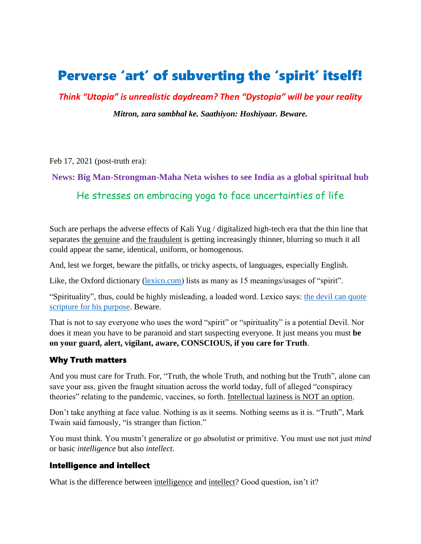# Perverse 'art' of subverting the 'spirit' itself!

*Think "Utopia" is unrealistic daydream? Then "Dystopia" will be your reality*

*Mitron, zara sambhal ke. Saathiyon: Hoshiyaar. Beware.*

Feb 17, 2021 (post-truth era):

**News: Big Man-Strongman-Maha Neta wishes to see India as a global spiritual hub**

# He stresses on embracing yoga to face uncertainties of life

Such are perhaps the adverse effects of Kali Yug / digitalized high-tech era that the thin line that separates the genuine and the fraudulent is getting increasingly thinner, blurring so much it all could appear the same, identical, uniform, or homogenous.

And, lest we forget, beware the pitfalls, or tricky aspects, of languages, especially English.

Like, the Oxford dictionary [\(lexico.com\)](https://www.lexico.com/definition/spirit) lists as many as 15 meanings/usages of "spirit".

"Spirituality", thus, could be highly misleading, a loaded word. Lexico says: the devil can quote [scripture for his purpose.](https://www.lexico.com/definition/the_devil_can_quote_scripture_for_his_purpose) Beware.

That is not to say everyone who uses the word "spirit" or "spirituality" is a potential Devil. Nor does it mean you have to be paranoid and start suspecting everyone. It just means you must **be on your guard, alert, vigilant, aware, CONSCIOUS, if you care for Truth**.

#### Why Truth matters

And you must care for Truth. For, "Truth, the whole Truth, and nothing but the Truth", alone can save your ass, given the fraught situation across the world today, full of alleged "conspiracy theories" relating to the pandemic, vaccines, so forth. Intellectual laziness is NOT an option.

Don't take anything at face value. Nothing is as it seems. Nothing seems as it is. "Truth", Mark Twain said famously, "is stranger than fiction."

You must think. You mustn't generalize or go absolutist or primitive. You must use not just *mind* or basic *intelligence* but also *intellect*.

#### Intelligence and intellect

What is the difference between intelligence and intellect? Good question, isn't it?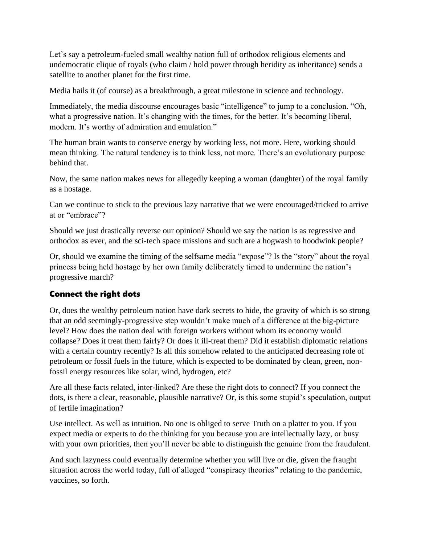Let's say a petroleum-fueled small wealthy nation full of orthodox religious elements and undemocratic clique of royals (who claim / hold power through heridity as inheritance) sends a satellite to another planet for the first time.

Media hails it (of course) as a breakthrough, a great milestone in science and technology.

Immediately, the media discourse encourages basic "intelligence" to jump to a conclusion. "Oh, what a progressive nation. It's changing with the times, for the better. It's becoming liberal, modern. It's worthy of admiration and emulation."

The human brain wants to conserve energy by working less, not more. Here, working should mean thinking. The natural tendency is to think less, not more. There's an evolutionary purpose behind that.

Now, the same nation makes news for allegedly keeping a woman (daughter) of the royal family as a hostage.

Can we continue to stick to the previous lazy narrative that we were encouraged/tricked to arrive at or "embrace"?

Should we just drastically reverse our opinion? Should we say the nation is as regressive and orthodox as ever, and the sci-tech space missions and such are a hogwash to hoodwink people?

Or, should we examine the timing of the selfsame media "expose"? Is the "story" about the royal princess being held hostage by her own family deliberately timed to undermine the nation's progressive march?

#### Connect the right dots

Or, does the wealthy petroleum nation have dark secrets to hide, the gravity of which is so strong that an odd seemingly-progressive step wouldn't make much of a difference at the big-picture level? How does the nation deal with foreign workers without whom its economy would collapse? Does it treat them fairly? Or does it ill-treat them? Did it establish diplomatic relations with a certain country recently? Is all this somehow related to the anticipated decreasing role of petroleum or fossil fuels in the future, which is expected to be dominated by clean, green, nonfossil energy resources like solar, wind, hydrogen, etc?

Are all these facts related, inter-linked? Are these the right dots to connect? If you connect the dots, is there a clear, reasonable, plausible narrative? Or, is this some stupid's speculation, output of fertile imagination?

Use intellect. As well as intuition. No one is obliged to serve Truth on a platter to you. If you expect media or experts to do the thinking for you because you are intellectually lazy, or busy with your own priorities, then you'll never be able to distinguish the genuine from the fraudulent.

And such lazyness could eventually determine whether you will live or die, given the fraught situation across the world today, full of alleged "conspiracy theories" relating to the pandemic, vaccines, so forth.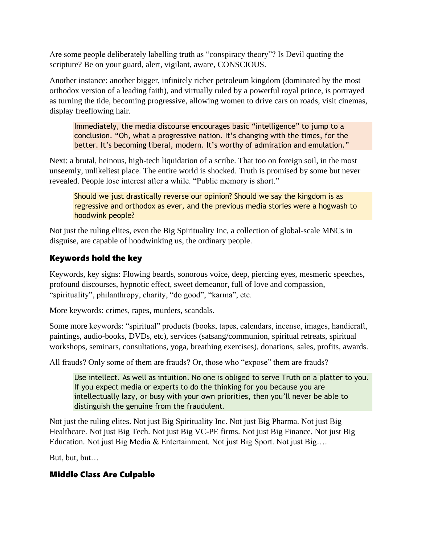Are some people deliberately labelling truth as "conspiracy theory"? Is Devil quoting the scripture? Be on your guard, alert, vigilant, aware, CONSCIOUS.

Another instance: another bigger, infinitely richer petroleum kingdom (dominated by the most orthodox version of a leading faith), and virtually ruled by a powerful royal prince, is portrayed as turning the tide, becoming progressive, allowing women to drive cars on roads, visit cinemas, display freeflowing hair.

Immediately, the media discourse encourages basic "intelligence" to jump to a conclusion. "Oh, what a progressive nation. It's changing with the times, for the better. It's becoming liberal, modern. It's worthy of admiration and emulation."

Next: a brutal, heinous, high-tech liquidation of a scribe. That too on foreign soil, in the most unseemly, unlikeliest place. The entire world is shocked. Truth is promised by some but never revealed. People lose interest after a while. "Public memory is short."

Should we just drastically reverse our opinion? Should we say the kingdom is as regressive and orthodox as ever, and the previous media stories were a hogwash to hoodwink people?

Not just the ruling elites, even the Big Spirituality Inc, a collection of global-scale MNCs in disguise, are capable of hoodwinking us, the ordinary people.

# Keywords hold the key

Keywords, key signs: Flowing beards, sonorous voice, deep, piercing eyes, mesmeric speeches, profound discourses, hypnotic effect, sweet demeanor, full of love and compassion, "spirituality", philanthropy, charity, "do good", "karma", etc.

More keywords: crimes, rapes, murders, scandals.

Some more keywords: "spiritual" products (books, tapes, calendars, incense, images, handicraft, paintings, audio-books, DVDs, etc), services (satsang/communion, spiritual retreats, spiritual workshops, seminars, consultations, yoga, breathing exercises), donations, sales, profits, awards.

All frauds? Only some of them are frauds? Or, those who "expose" them are frauds?

Use intellect. As well as intuition. No one is obliged to serve Truth on a platter to you. If you expect media or experts to do the thinking for you because you are intellectually lazy, or busy with your own priorities, then you'll never be able to distinguish the genuine from the fraudulent.

Not just the ruling elites. Not just Big Spirituality Inc. Not just Big Pharma. Not just Big Healthcare. Not just Big Tech. Not just Big VC-PE firms. Not just Big Finance. Not just Big Education. Not just Big Media & Entertainment. Not just Big Sport. Not just Big….

But, but, but…

# Middle Class Are Culpable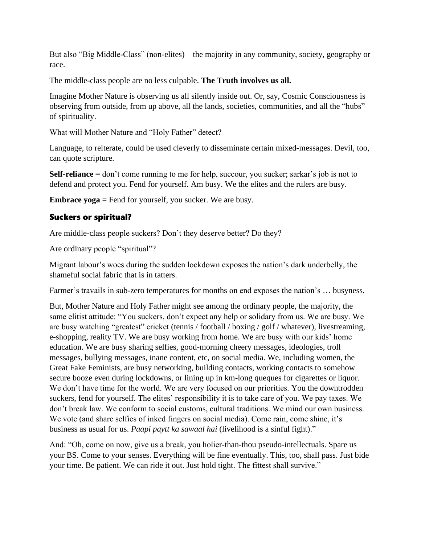But also "Big Middle-Class" (non-elites) – the majority in any community, society, geography or race.

The middle-class people are no less culpable. **The Truth involves us all.**

Imagine Mother Nature is observing us all silently inside out. Or, say, Cosmic Consciousness is observing from outside, from up above, all the lands, societies, communities, and all the "hubs" of spirituality.

What will Mother Nature and "Holy Father" detect?

Language, to reiterate, could be used cleverly to disseminate certain mixed-messages. Devil, too, can quote scripture.

**Self-reliance** = don't come running to me for help, succour, you sucker; sarkar's job is not to defend and protect you. Fend for yourself. Am busy. We the elites and the rulers are busy.

**Embrace yoga** = Fend for yourself, you sucker. We are busy.

#### Suckers or spiritual?

Are middle-class people suckers? Don't they deserve better? Do they?

Are ordinary people "spiritual"?

Migrant labour's woes during the sudden lockdown exposes the nation's dark underbelly, the shameful social fabric that is in tatters.

Farmer's travails in sub-zero temperatures for months on end exposes the nation's … busyness.

But, Mother Nature and Holy Father might see among the ordinary people, the majority, the same elitist attitude: "You suckers, don't expect any help or solidary from us. We are busy. We are busy watching "greatest" cricket (tennis / football / boxing / golf / whatever), livestreaming, e-shopping, reality TV. We are busy working from home. We are busy with our kids' home education. We are busy sharing selfies, good-morning cheery messages, ideologies, troll messages, bullying messages, inane content, etc, on social media. We, including women, the Great Fake Feminists, are busy networking, building contacts, working contacts to somehow secure booze even during lockdowns, or lining up in km-long queques for cigarettes or liquor. We don't have time for the world. We are very focused on our priorities. You the downtrodden suckers, fend for yourself. The elites' responsibility it is to take care of you. We pay taxes. We don't break law. We conform to social customs, cultural traditions. We mind our own business. We vote (and share selfies of inked fingers on social media). Come rain, come shine, it's business as usual for us. *Paapi paytt ka sawaal hai* (livelihood is a sinful fight)."

And: "Oh, come on now, give us a break, you holier-than-thou pseudo-intellectuals. Spare us your BS. Come to your senses. Everything will be fine eventually. This, too, shall pass. Just bide your time. Be patient. We can ride it out. Just hold tight. The fittest shall survive."